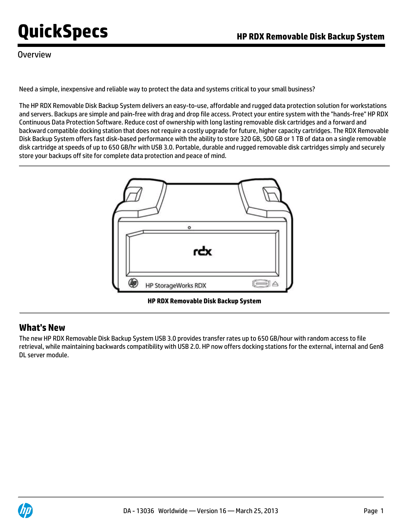### Overview

Need a simple, inexpensive and reliable way to protect the data and systems critical to your small business?

The HP RDX Removable Disk Backup System delivers an easy-to-use, affordable and rugged data protection solution for workstations and servers. Backups are simple and pain-free with drag and drop file access. Protect your entire system with the "hands-free" HP RDX Continuous Data Protection Software. Reduce cost of ownership with long lasting removable disk cartridges and a forward and backward compatible docking station that does not require a costly upgrade for future, higher capacity cartridges. The RDX Removable Disk Backup System offers fast disk-based performance with the ability to store 320 GB, 500 GB or 1 TB of data on a single removable disk cartridge at speeds of up to 650 GB/hr with USB 3.0. Portable, durable and rugged removable disk cartridges simply and securely store your backups off site for complete data protection and peace of mind.



**HP RDX Removable Disk Backup System**

### **What's New**

The new HP RDX Removable Disk Backup System USB 3.0 provides transfer rates up to 650 GB/hour with random access to file retrieval, while maintaining backwards compatibility with USB 2.0. HP now offers docking stations for the external, internal and Gen8 DL server module.

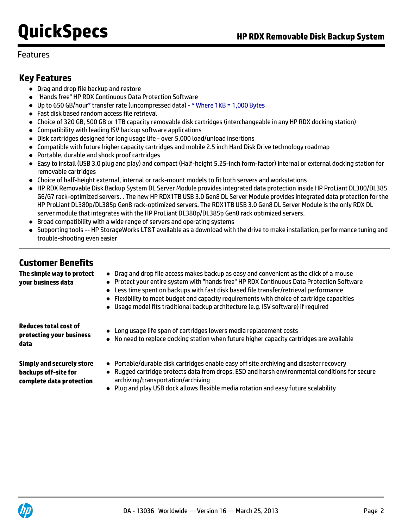### Features

# **Key Features**

- Drag and drop file backup and restore
- "Hands free" HP RDX Continuous Data Protection Software
- Up to 650 GB/hour\* transfer rate (uncompressed data) \* Where 1KB = 1,000 Bytes
- Fast disk based random access file retrieval
- Choice of 320 GB, 500 GB or 1TB capacity removable disk cartridges (interchangeable in any HP RDX docking station)
- Compatibility with leading ISV backup software applications
- Disk cartridges designed for long usage life over 5,000 load/unload insertions
- Compatible with future higher capacity cartridges and mobile 2.5 inch Hard Disk Drive technology roadmap
- Portable, durable and shock proof cartridges
- Easy to install (USB 3.0 plug and play) and compact (Half-height 5.25-inch form-factor) internal or external docking station for removable cartridges
- Choice of half-height external, internal or rack-mount models to fit both servers and workstations

archiving/transportation/archiving

- HP RDX Removable Disk Backup System DL Server Module provides integrated data protection inside HP ProLiant DL380/DL385 G6/G7 rack-optimized servers. . The new HP RDX1TB USB 3.0 Gen8 DL Server Module provides integrated data protection for the HP ProLiant DL380p/DL385p Gen8 rack-optimized servers. The RDX1TB USB 3.0 Gen8 DL Server Module is the only RDX DL server module that integrates with the HP ProLiant DL380p/DL385p Gen8 rack optimized servers.
- Broad compatibility with a wide range of servers and operating systems
- Supporting tools -- HP StorageWorks LT&T available as a download with the drive to make installation, performance tuning and trouble-shooting even easier

### **Customer Benefits The simple way to protect**

**your business data**

- Drag and drop file access makes backup as easy and convenient as the click of a mouse
- Protect your entire system with "hands free" HP RDX Continuous Data Protection Software
- Less time spent on backups with fast disk based file transfer/retrieval performance
- Flexibility to meet budget and capacity requirements with choice of cartridge capacities
- Usage model fits traditional backup architecture (e.g. ISV software) if required

Long usage life span of cartridges lowers media replacement costs

**Reduces total cost of protecting your business data**

**Simply and securely store backups off-site for complete data protection**

Plug and play USB dock allows flexible media rotation and easy future scalability

Portable/durable disk cartridges enable easy off site archiving and disaster recovery Rugged cartridge protects data from drops, ESD and harsh environmental conditions for secure

No need to replace docking station when future higher capacity cartridges are available

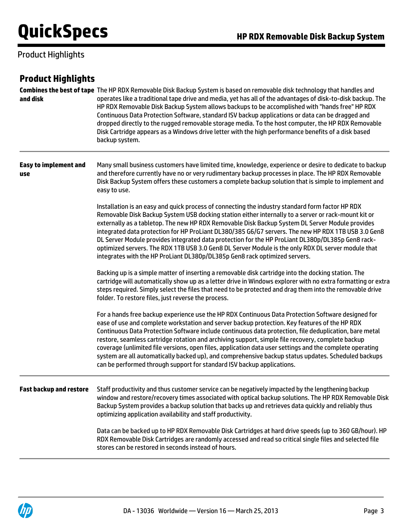# Product Highlights

| <b>Product Highlights</b>           |                                                                                                                                                                                                                                                                                                                                                                                                                                                                                                                                                                                                                                                                                                                 |
|-------------------------------------|-----------------------------------------------------------------------------------------------------------------------------------------------------------------------------------------------------------------------------------------------------------------------------------------------------------------------------------------------------------------------------------------------------------------------------------------------------------------------------------------------------------------------------------------------------------------------------------------------------------------------------------------------------------------------------------------------------------------|
| and disk                            | Combines the best of tape The HP RDX Removable Disk Backup System is based on removable disk technology that handles and<br>operates like a traditional tape drive and media, yet has all of the advantages of disk-to-disk backup. The<br>HP RDX Removable Disk Backup System allows backups to be accomplished with "hands free" HP RDX<br>Continuous Data Protection Software, standard ISV backup applications or data can be dragged and<br>dropped directly to the rugged removable storage media. To the host computer, the HP RDX Removable<br>Disk Cartridge appears as a Windows drive letter with the high performance benefits of a disk based<br>backup system.                                    |
| <b>Easy to implement and</b><br>use | Many small business customers have limited time, knowledge, experience or desire to dedicate to backup<br>and therefore currently have no or very rudimentary backup processes in place. The HP RDX Removable<br>Disk Backup System offers these customers a complete backup solution that is simple to implement and<br>easy to use.                                                                                                                                                                                                                                                                                                                                                                           |
|                                     | Installation is an easy and quick process of connecting the industry standard form factor HP RDX<br>Removable Disk Backup System USB docking station either internally to a server or rack-mount kit or<br>externally as a tabletop. The new HP RDX Removable Disk Backup System DL Server Module provides<br>integrated data protection for HP ProLiant DL380/385 G6/G7 servers. The new HP RDX 1TB USB 3.0 Gen8<br>DL Server Module provides integrated data protection for the HP ProLiant DL380p/DL385p Gen8 rack-<br>optimized servers. The RDX 1TB USB 3.0 Gen8 DL Server Module is the only RDX DL server module that<br>integrates with the HP ProLiant DL380p/DL385p Gen8 rack optimized servers.      |
|                                     | Backing up is a simple matter of inserting a removable disk cartridge into the docking station. The<br>cartridge will automatically show up as a letter drive in Windows explorer with no extra formatting or extra<br>steps required. Simply select the files that need to be protected and drag them into the removable drive<br>folder. To restore files, just reverse the process.                                                                                                                                                                                                                                                                                                                          |
|                                     | For a hands free backup experience use the HP RDX Continuous Data Protection Software designed for<br>ease of use and complete workstation and server backup protection. Key features of the HP RDX<br>Continuous Data Protection Software include continuous data protection, file deduplication, bare metal<br>restore, seamless cartridge rotation and archiving support, simple file recovery, complete backup<br>coverage (unlimited file versions, open files, application data user settings and the complete operating<br>system are all automatically backed up), and comprehensive backup status updates. Scheduled backups<br>can be performed through support for standard ISV backup applications. |
| <b>Fast backup and restore</b>      | Staff productivity and thus customer service can be negatively impacted by the lengthening backup<br>window and restore/recovery times associated with optical backup solutions. The HP RDX Removable Disk<br>Backup System provides a backup solution that backs up and retrieves data quickly and reliably thus<br>optimizing application availability and staff productivity.                                                                                                                                                                                                                                                                                                                                |
|                                     | Data can be backed up to HP RDX Removable Disk Cartridges at hard drive speeds (up to 360 GB/hour). HP<br>RDX Removable Disk Cartridges are randomly accessed and read so critical single files and selected file<br>stores can be restored in seconds instead of hours.                                                                                                                                                                                                                                                                                                                                                                                                                                        |

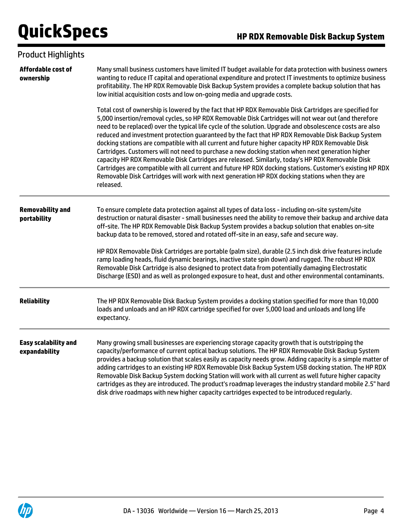| <b>Product Highlights</b>                    |                                                                                                                                                                                                                                                                                                                                                                                                                                                                                                                                                                                                                                                                                                                                                                                                                                                                                                                                                                            |  |  |  |  |
|----------------------------------------------|----------------------------------------------------------------------------------------------------------------------------------------------------------------------------------------------------------------------------------------------------------------------------------------------------------------------------------------------------------------------------------------------------------------------------------------------------------------------------------------------------------------------------------------------------------------------------------------------------------------------------------------------------------------------------------------------------------------------------------------------------------------------------------------------------------------------------------------------------------------------------------------------------------------------------------------------------------------------------|--|--|--|--|
| Affordable cost of<br>ownership              | Many small business customers have limited IT budget available for data protection with business owners<br>wanting to reduce IT capital and operational expenditure and protect IT investments to optimize business<br>profitability. The HP RDX Removable Disk Backup System provides a complete backup solution that has<br>low initial acquisition costs and low on-going media and upgrade costs.                                                                                                                                                                                                                                                                                                                                                                                                                                                                                                                                                                      |  |  |  |  |
|                                              | Total cost of ownership is lowered by the fact that HP RDX Removable Disk Cartridges are specified for<br>5,000 insertion/removal cycles, so HP RDX Removable Disk Cartridges will not wear out (and therefore<br>need to be replaced) over the typical life cycle of the solution. Upgrade and obsolescence costs are also<br>reduced and investment protection guaranteed by the fact that HP RDX Removable Disk Backup System<br>docking stations are compatible with all current and future higher capacity HP RDX Removable Disk<br>Cartridges. Customers will not need to purchase a new docking station when next generation higher<br>capacity HP RDX Removable Disk Cartridges are released. Similarly, today's HP RDX Removable Disk<br>Cartridges are compatible with all current and future HP RDX docking stations. Customer's existing HP RDX<br>Removable Disk Cartridges will work with next generation HP RDX docking stations when they are<br>released. |  |  |  |  |
| <b>Removability and</b><br>portability       | To ensure complete data protection against all types of data loss - including on-site system/site<br>destruction or natural disaster - small businesses need the ability to remove their backup and archive data<br>off-site. The HP RDX Removable Disk Backup System provides a backup solution that enables on-site<br>backup data to be removed, stored and rotated off-site in an easy, safe and secure way.                                                                                                                                                                                                                                                                                                                                                                                                                                                                                                                                                           |  |  |  |  |
|                                              | HP RDX Removable Disk Cartridges are portable (palm size), durable (2.5 inch disk drive features include<br>ramp loading heads, fluid dynamic bearings, inactive state spin down) and rugged. The robust HP RDX<br>Removable Disk Cartridge is also designed to protect data from potentially damaging Electrostatic<br>Discharge (ESD) and as well as prolonged exposure to heat, dust and other environmental contaminants.                                                                                                                                                                                                                                                                                                                                                                                                                                                                                                                                              |  |  |  |  |
| <b>Reliability</b>                           | The HP RDX Removable Disk Backup System provides a docking station specified for more than 10,000<br>loads and unloads and an HP RDX cartridge specified for over 5,000 load and unloads and long life<br>expectancy.                                                                                                                                                                                                                                                                                                                                                                                                                                                                                                                                                                                                                                                                                                                                                      |  |  |  |  |
| <b>Easy scalability and</b><br>expandability | Many growing small businesses are experiencing storage capacity growth that is outstripping the<br>capacity/performance of current optical backup solutions. The HP RDX Removable Disk Backup System<br>provides a backup solution that scales easily as capacity needs grow. Adding capacity is a simple matter of<br>adding cartridges to an existing HP RDX Removable Disk Backup System USB docking station. The HP RDX<br>Removable Disk Backup System docking Station will work with all current as well future higher capacity<br>cartridges as they are introduced. The product's roadmap leverages the industry standard mobile 2.5" hard<br>disk drive roadmaps with new higher capacity cartridges expected to be introduced regularly.                                                                                                                                                                                                                         |  |  |  |  |

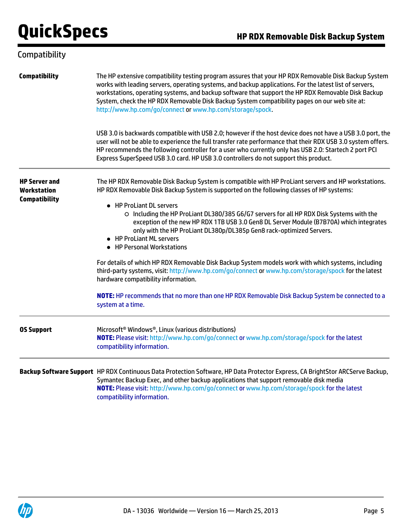# Compatibility

| <b>Compatibility</b>                                               | The HP extensive compatibility testing program assures that your HP RDX Removable Disk Backup System<br>works with leading servers, operating systems, and backup applications. For the latest list of servers,<br>workstations, operating systems, and backup software that support the HP RDX Removable Disk Backup<br>System, check the HP RDX Removable Disk Backup System compatibility pages on our web site at:<br>http://www.hp.com/go/connect or www.hp.com/storage/spock.                                                                                                                                                                                                                                                                                                                                                                                                                                              |  |  |  |  |
|--------------------------------------------------------------------|----------------------------------------------------------------------------------------------------------------------------------------------------------------------------------------------------------------------------------------------------------------------------------------------------------------------------------------------------------------------------------------------------------------------------------------------------------------------------------------------------------------------------------------------------------------------------------------------------------------------------------------------------------------------------------------------------------------------------------------------------------------------------------------------------------------------------------------------------------------------------------------------------------------------------------|--|--|--|--|
|                                                                    | USB 3.0 is backwards compatible with USB 2.0; however if the host device does not have a USB 3.0 port, the<br>user will not be able to experience the full transfer rate performance that their RDX USB 3.0 system offers.<br>HP recommends the following controller for a user who currently only has USB 2.0: Startech 2 port PCI<br>Express SuperSpeed USB 3.0 card. HP USB 3.0 controllers do not support this product.                                                                                                                                                                                                                                                                                                                                                                                                                                                                                                      |  |  |  |  |
| <b>HP Server and</b><br><b>Workstation</b><br><b>Compatibility</b> | The HP RDX Removable Disk Backup System is compatible with HP ProLiant servers and HP workstations.<br>HP RDX Removable Disk Backup System is supported on the following classes of HP systems:<br>• HP ProLiant DL servers<br>O Including the HP ProLiant DL380/385 G6/G7 servers for all HP RDX Disk Systems with the<br>exception of the new HP RDX 1TB USB 3.0 Gen8 DL Server Module (B7B70A) which integrates<br>only with the HP ProLiant DL380p/DL385p Gen8 rack-optimized Servers.<br>• HP ProLiant ML servers<br>• HP Personal Workstations<br>For details of which HP RDX Removable Disk Backup System models work with which systems, including<br>third-party systems, visit: http://www.hp.com/go/connect or www.hp.com/storage/spock for the latest<br>hardware compatibility information.<br>NOTE: HP recommends that no more than one HP RDX Removable Disk Backup System be connected to a<br>system at a time. |  |  |  |  |
| <b>OS Support</b>                                                  | Microsoft <sup>®</sup> Windows®, Linux (various distributions)<br>NOTE: Please visit: http://www.hp.com/go/connect or www.hp.com/storage/spock for the latest<br>compatibility information.                                                                                                                                                                                                                                                                                                                                                                                                                                                                                                                                                                                                                                                                                                                                      |  |  |  |  |
|                                                                    | Backup Software Support HP RDX Continuous Data Protection Software, HP Data Protector Express, CA BrightStor ARCServe Backup,                                                                                                                                                                                                                                                                                                                                                                                                                                                                                                                                                                                                                                                                                                                                                                                                    |  |  |  |  |

Symantec Backup Exec, and other backup applications that support removable disk media **NOTE:** Please visit: <http://www.hp.com/go/connect> or [www.hp.com/storage/spock](http://www.hp.com/storage/spock) for the latest compatibility information.

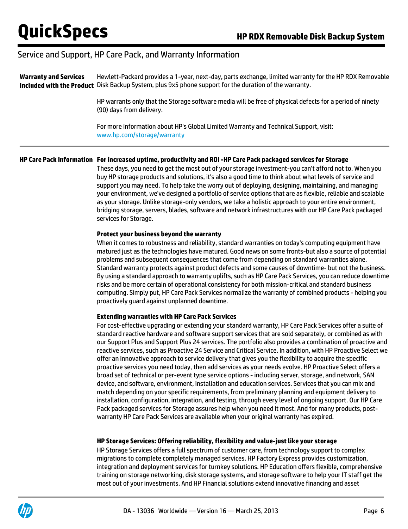**Warranty and Services Included with the Product** Disk Backup System, plus 9x5 phone support for the duration of the warranty. Hewlett-Packard provides a 1-year, next-day, parts exchange, limited warranty for the HP RDX Removable

> HP warrants only that the Storage software media will be free of physical defects for a period of ninety (90) days from delivery.

For more information about HP's Global Limited Warranty and Technical Support, visit: [www.hp.com/storage/warranty](http:%5C%5Cwww.hp.com/storage/warranty)

### **HP Care Pack Information For increased uptime, productivity and ROI -HP Care Pack packaged services for Storage**

These days, you need to get the most out of your storage investment-you can't afford not to. When you buy HP storage products and solutions, it's also a good time to think about what levels of service and support you may need. To help take the worry out of deploying, designing, maintaining, and managing your environment, we've designed a portfolio of service options that are as flexible, reliable and scalable as your storage. Unlike storage-only vendors, we take a holistic approach to your entire environment, bridging storage, servers, blades, software and network infrastructures with our HP Care Pack packaged services for Storage.

#### **Protect your business beyond the warranty**

When it comes to robustness and reliability, standard warranties on today's computing equipment have matured just as the technologies have matured. Good news on some fronts-but also a source of potential problems and subsequent consequences that come from depending on standard warranties alone. Standard warranty protects against product defects and some causes of downtime- but not the business. By using a standard approach to warranty uplifts, such as HP Care Pack Services, you can reduce downtime risks and be more certain of operational consistency for both mission-critical and standard business computing. Simply put, HP Care Pack Services normalize the warranty of combined products - helping you proactively guard against unplanned downtime.

#### **Extending warranties with HP Care Pack Services**

For cost-effective upgrading or extending your standard warranty, HP Care Pack Services offer a suite of standard reactive hardware and software support services that are sold separately, or combined as with our Support Plus and Support Plus 24 services. The portfolio also provides a combination of proactive and reactive services, such as Proactive 24 Service and Critical Service. In addition, with HP Proactive Select we offer an innovative approach to service delivery that gives you the flexibility to acquire the specific proactive services you need today, then add services as your needs evolve. HP Proactive Select offers a broad set of technical or per-event type service options - including server, storage, and network, SAN device, and software, environment, installation and education services. Services that you can mix and match depending on your specific requirements, from preliminary planning and equipment delivery to installation, configuration, integration, and testing, through every level of ongoing support. Our HP Care Pack packaged services for Storage assures help when you need it most. And for many products, postwarranty HP Care Pack Services are available when your original warranty has expired.

#### **HP Storage Services: Offering reliability, flexibility and value-just like your storage**

HP Storage Services offers a full spectrum of customer care, from technology support to complex migrations to complete completely managed services. HP Factory Express provides customization, integration and deployment services for turnkey solutions. HP Education offers flexible, comprehensive training on storage networking, disk storage systems, and storage software to help your IT staff get the most out of your investments. And HP Financial solutions extend innovative financing and asset

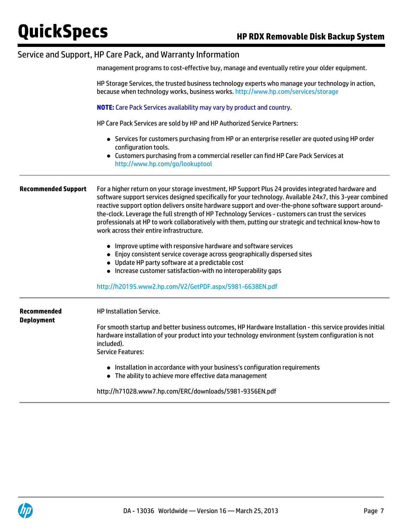management programs to cost-effective buy, manage and eventually retire your older equipment.

|                                  | HP Storage Services, the trusted business technology experts who manage your technology in action,<br>because when technology works, business works. http://www.hp.com/services/storage                                                                                                                                                                                                                                                                                                                                                                                              |  |  |  |  |  |
|----------------------------------|--------------------------------------------------------------------------------------------------------------------------------------------------------------------------------------------------------------------------------------------------------------------------------------------------------------------------------------------------------------------------------------------------------------------------------------------------------------------------------------------------------------------------------------------------------------------------------------|--|--|--|--|--|
|                                  | <b>NOTE:</b> Care Pack Services availability may vary by product and country.                                                                                                                                                                                                                                                                                                                                                                                                                                                                                                        |  |  |  |  |  |
|                                  | HP Care Pack Services are sold by HP and HP Authorized Service Partners:                                                                                                                                                                                                                                                                                                                                                                                                                                                                                                             |  |  |  |  |  |
|                                  | • Services for customers purchasing from HP or an enterprise reseller are quoted using HP order<br>configuration tools.<br>• Customers purchasing from a commercial reseller can find HP Care Pack Services at<br>http://www.hp.com/go/lookuptool                                                                                                                                                                                                                                                                                                                                    |  |  |  |  |  |
| <b>Recommended Support</b>       | For a higher return on your storage investment, HP Support Plus 24 provides integrated hardware and<br>software support services designed specifically for your technology. Available 24x7, this 3-year combined<br>reactive support option delivers onsite hardware support and over-the-phone software support around-<br>the-clock. Leverage the full strength of HP Technology Services - customers can trust the services<br>professionals at HP to work collaboratively with them, putting our strategic and technical know-how to<br>work across their entire infrastructure. |  |  |  |  |  |
|                                  | • Improve uptime with responsive hardware and software services<br>• Enjoy consistent service coverage across geographically dispersed sites<br>• Update HP party software at a predictable cost<br>• Increase customer satisfaction-with no interoperability gaps                                                                                                                                                                                                                                                                                                                   |  |  |  |  |  |
|                                  | http://h20195.www2.hp.com/V2/GetPDF.aspx/5981-6638EN.pdf                                                                                                                                                                                                                                                                                                                                                                                                                                                                                                                             |  |  |  |  |  |
| Recommended<br><b>Deployment</b> | <b>HP Installation Service.</b>                                                                                                                                                                                                                                                                                                                                                                                                                                                                                                                                                      |  |  |  |  |  |
|                                  | For smooth startup and better business outcomes, HP Hardware Installation - this service provides initial<br>hardware installation of your product into your technology environment (system configuration is not<br>included).<br><b>Service Features:</b>                                                                                                                                                                                                                                                                                                                           |  |  |  |  |  |
|                                  | • Installation in accordance with your business's configuration requirements<br>• The ability to achieve more effective data management                                                                                                                                                                                                                                                                                                                                                                                                                                              |  |  |  |  |  |
|                                  | http://h71028.www7.hp.com/ERC/downloads/5981-9356EN.pdf                                                                                                                                                                                                                                                                                                                                                                                                                                                                                                                              |  |  |  |  |  |

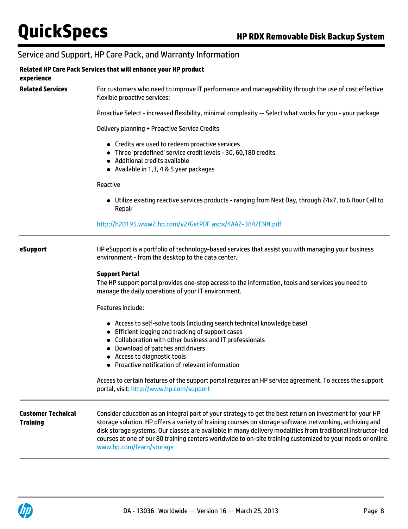### **Related HP Care Pack Services that will enhance your HP product**

#### **experience**

**Related Services** For customers who need to improve IT performance and manageability through the use of cost effective flexible proactive services:

Proactive Select - increased flexibility, minimal complexity -- Select what works for you - your package

Delivery planning + Proactive Service Credits

- Credits are used to redeem proactive services
- Three 'predefined' service credit levels 30, 60,180 credits
- Additional credits available
- Available in 1,3, 4 & 5 year packages

#### Reactive

Utilize existing reactive services products - ranging from Next Day, through 24x7, to 6 Hour Call to Repair

<http://h20195.www2.hp.com/v2/GetPDF.aspx/4AA2-3842ENN.pdf>

**eSupport** HP eSupport is a portfolio of technology-based services that assist you with managing your business environment - from the desktop to the data center.

#### **Support Portal**

The HP support portal provides one-stop access to the information, tools and services you need to manage the daily operations of your IT environment.

Features include:

- Access to self-solve tools (including search technical knowledge base)
- Efficient logging and tracking of support cases
- Collaboration with other business and IT professionals
- Download of patches and drivers
- Access to diagnostic tools
- Proactive notification of relevant information

Access to certain features of the support portal requires an HP service agreement. To access the support portal, visit: <http://www.hp.com/support>

### **Customer Technical Training**

Consider education as an integral part of your strategy to get the best return on investment for your HP storage solution. HP offers a variety of training courses on storage software, networking, archiving and disk storage systems. Our classes are available in many delivery modalities from traditional instructor-led courses at one of our 80 training centers worldwide to on-site training customized to your needs or online. [www.hp.com/learn/storage](http://www.hp.com/learn/storage)

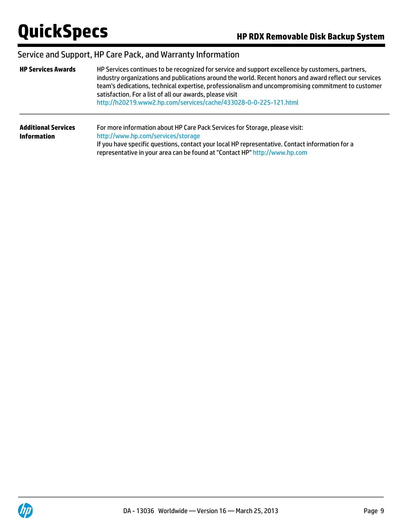| <b>HP Services Awards</b>                        | HP Services continues to be recognized for service and support excellence by customers, partners,<br>industry organizations and publications around the world. Recent honors and award reflect our services<br>team's dedications, technical expertise, professionalism and uncompromising commitment to customer<br>satisfaction. For a list of all our awards, please visit<br>http://h20219.www2.hp.com/services/cache/433028-0-0-225-121.html |
|--------------------------------------------------|---------------------------------------------------------------------------------------------------------------------------------------------------------------------------------------------------------------------------------------------------------------------------------------------------------------------------------------------------------------------------------------------------------------------------------------------------|
| <b>Additional Services</b><br><b>Information</b> | For more information about HP Care Pack Services for Storage, please visit:<br>http://www.hp.com/services/storage<br>If you have specific questions, contact your local HP representative. Contact information for a<br>representative in your area can be found at "Contact HP" http://www.hp.com                                                                                                                                                |

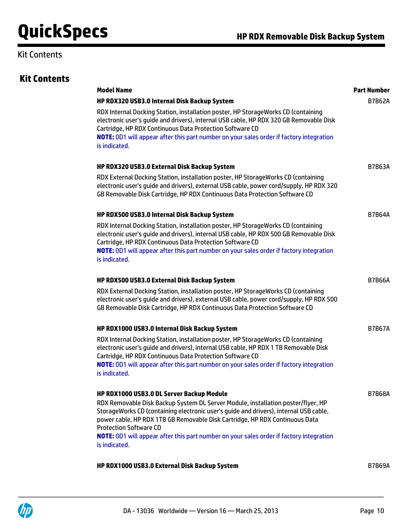# Kit Contents

# **Kit Contents**

| <b>Model Name</b>                              |                                                                                                                                                                                                                                                                                                                                                     | <b>Part Number</b> |
|------------------------------------------------|-----------------------------------------------------------------------------------------------------------------------------------------------------------------------------------------------------------------------------------------------------------------------------------------------------------------------------------------------------|--------------------|
|                                                | HP RDX320 USB3.0 Internal Disk Backup System                                                                                                                                                                                                                                                                                                        | <b>B7B62A</b>      |
| is indicated.                                  | RDX Internal Docking Station, installation poster, HP StorageWorks CD (containing<br>electronic user's guide and drivers), internal USB cable, HP RDX 320 GB Removable Disk<br>Cartridge, HP RDX Continuous Data Protection Software CD<br>NOTE: 0D1 will appear after this part number on your sales order if factory integration                  |                    |
|                                                | HP RDX320 USB3.0 External Disk Backup System                                                                                                                                                                                                                                                                                                        | <b>B7B63A</b>      |
|                                                | RDX External Docking Station, installation poster, HP StorageWorks CD (containing<br>electronic user's guide and drivers), external USB cable, power cord/supply, HP RDX 320<br>GB Removable Disk Cartridge, HP RDX Continuous Data Protection Software CD                                                                                          |                    |
|                                                | HP RDX500 USB3.0 Internal Disk Backup System                                                                                                                                                                                                                                                                                                        | <b>B7B64A</b>      |
| is indicated.                                  | RDX Internal Docking Station, installation poster, HP StorageWorks CD (containing<br>electronic user's guide and drivers), internal USB cable, HP RDX 500 GB Removable Disk<br>Cartridge, HP RDX Continuous Data Protection Software CD<br>NOTE: 0D1 will appear after this part number on your sales order if factory integration                  |                    |
|                                                | HP RDX500 USB3.0 External Disk Backup System                                                                                                                                                                                                                                                                                                        | <b>B7B66A</b>      |
|                                                | RDX External Docking Station, installation poster, HP StorageWorks CD (containing<br>electronic user's guide and drivers), external USB cable, power cord/supply, HP RDX 500<br>GB Removable Disk Cartridge, HP RDX Continuous Data Protection Software CD                                                                                          |                    |
|                                                | HP RDX1000 USB3.0 Internal Disk Backup System                                                                                                                                                                                                                                                                                                       | <b>B7B67A</b>      |
| is indicated.                                  | RDX Internal Docking Station, installation poster, HP StorageWorks CD (containing<br>electronic user's guide and drivers), internal USB cable, HP RDX 1 TB Removable Disk<br>Cartridge, HP RDX Continuous Data Protection Software CD<br>NOTE: 0D1 will appear after this part number on your sales order if factory integration                    |                    |
|                                                | <b>HP RDX1000 USB3.0 DL Server Backup Module</b>                                                                                                                                                                                                                                                                                                    | <b>B7B68A</b>      |
| <b>Protection Software CD</b><br>is indicated. | RDX Removable Disk Backup System DL Server Module, installation poster/flyer, HP<br>StorageWorks CD (containing electronic user's guide and drivers), internal USB cable,<br>power cable, HP RDX 1TB GB Removable Disk Cartridge, HP RDX Continuous Data<br>NOTE: 0D1 will appear after this part number on your sales order if factory integration |                    |
|                                                | HP RDX1000 USB3.0 External Disk Backup System                                                                                                                                                                                                                                                                                                       | <b>B7B69A</b>      |

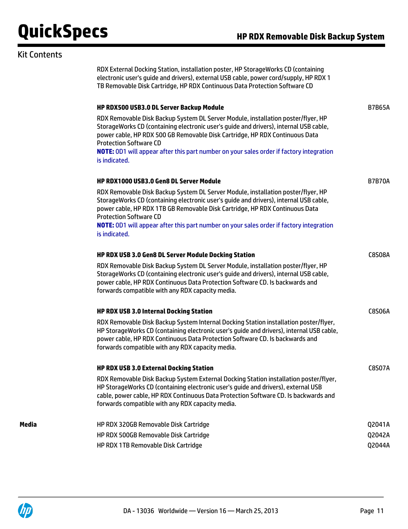### Kit Contents

RDX External Docking Station, installation poster, HP StorageWorks CD (containing electronic user's guide and drivers), external USB cable, power cord/supply, HP RDX 1 TB Removable Disk Cartridge, HP RDX Continuous Data Protection Software CD

**HP RDX500 USB3.0 DL Server Backup Module** B7865A

|       | RDX Removable Disk Backup System DL Server Module, installation poster/flyer, HP<br>StorageWorks CD (containing electronic user's guide and drivers), internal USB cable,<br>power cable, HP RDX 500 GB Removable Disk Cartridge, HP RDX Continuous Data<br><b>Protection Software CD</b><br>NOTE: 0D1 will appear after this part number on your sales order if factory integration<br>is indicated.                                                   |                            |
|-------|---------------------------------------------------------------------------------------------------------------------------------------------------------------------------------------------------------------------------------------------------------------------------------------------------------------------------------------------------------------------------------------------------------------------------------------------------------|----------------------------|
|       | <b>HP RDX1000 USB3.0 Gen8 DL Server Module</b><br>RDX Removable Disk Backup System DL Server Module, installation poster/flyer, HP<br>StorageWorks CD (containing electronic user's guide and drivers), internal USB cable,<br>power cable, HP RDX 1TB GB Removable Disk Cartridge, HP RDX Continuous Data<br><b>Protection Software CD</b><br>NOTE: 0D1 will appear after this part number on your sales order if factory integration<br>is indicated. | <b>B7B70A</b>              |
|       | HP RDX USB 3.0 Gen8 DL Server Module Docking Station<br>RDX Removable Disk Backup System DL Server Module, installation poster/flyer, HP<br>StorageWorks CD (containing electronic user's guide and drivers), internal USB cable,<br>power cable, HP RDX Continuous Data Protection Software CD. Is backwards and<br>forwards compatible with any RDX capacity media.                                                                                   | C8S08A                     |
|       | <b>HP RDX USB 3.0 Internal Docking Station</b><br>RDX Removable Disk Backup System Internal Docking Station installation poster/flyer,<br>HP StorageWorks CD (containing electronic user's guide and drivers), internal USB cable,<br>power cable, HP RDX Continuous Data Protection Software CD. Is backwards and<br>forwards compatible with any RDX capacity media.                                                                                  | <b>C8S06A</b>              |
|       | <b>HP RDX USB 3.0 External Docking Station</b><br>RDX Removable Disk Backup System External Docking Station installation poster/flyer,<br>HP StorageWorks CD (containing electronic user's guide and drivers), external USB<br>cable, power cable, HP RDX Continuous Data Protection Software CD. Is backwards and<br>forwards compatible with any RDX capacity media.                                                                                  | <b>C8S07A</b>              |
| Media | HP RDX 320GB Removable Disk Cartridge<br>HP RDX 500GB Removable Disk Cartridge<br>HP RDX 1TB Removable Disk Cartridge                                                                                                                                                                                                                                                                                                                                   | Q2041A<br>Q2042A<br>Q2044A |

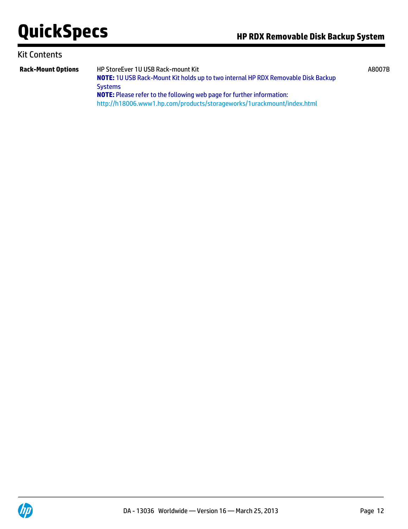A8007B

### Kit Contents

**Rack-Mount Options** HP StoreEver 1U USB Rack-mount Kit **NOTE:** 1U USB Rack-Mount Kit holds up to two internal HP RDX Removable Disk Backup **Systems NOTE:** Please refer to the following web page for further information: <http://h18006.www1.hp.com/products/storageworks/1urackmount/index.html>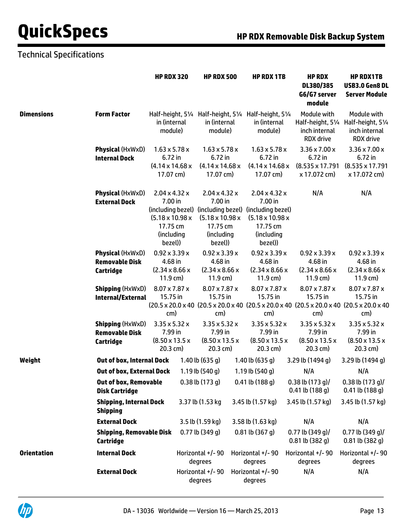# Technical Specifications

|                    |                                                               | <b>HP RDX 320</b>                                                                                        |  | <b>HP RDX 500</b>                                                                                        | <b>HP RDX 1TB</b>                                                                                                                                                 | <b>HP RDX</b><br>DL380/385<br>G6/G7 server<br>module                                                                          | <b>HP RDX1TB</b><br>USB3.0 Gen8 DL<br><b>Server Module</b>                       |
|--------------------|---------------------------------------------------------------|----------------------------------------------------------------------------------------------------------|--|----------------------------------------------------------------------------------------------------------|-------------------------------------------------------------------------------------------------------------------------------------------------------------------|-------------------------------------------------------------------------------------------------------------------------------|----------------------------------------------------------------------------------|
| <b>Dimensions</b>  | <b>Form Factor</b>                                            | Half-height, 51/4 Half-height, 51/4 Half-height, 51/4<br>in (internal<br>module)                         |  | in (internal<br>module)                                                                                  | in (internal<br>module)                                                                                                                                           | Module with<br>Half-height, 51/4<br>inch internal<br><b>RDX</b> drive                                                         | Module with<br>Half-height, 51/4<br>inch internal<br>RDX drive                   |
|                    | <b>Physical (HxWxD)</b><br><b>Internal Dock</b>               | $1.63 \times 5.78 \times$<br>6.72 in<br>$(4.14 \times 14.68 \times$<br>17.07 cm)                         |  | $1.63 \times 5.78 \times$<br>6.72 in<br>$(4.14 \times 14.68 \times$<br>17.07 cm)                         | $1.63 \times 5.78 \times$<br>6.72 in<br>$(4.14 \times 14.68 \times$<br>17.07 cm)                                                                                  | 3.36 x 7.00 x<br>6.72 in<br>$(8.535 \times 17.791$<br>x 17.072 cm)                                                            | 3.36 x 7.00 x<br>6.72 in<br>(8.535 x 17.791<br>x 17.072 cm)                      |
|                    | <b>Physical (HxWxD)</b><br><b>External Dock</b>               | $2.04 \times 4.32 \times$<br>7.00 in<br>$(5.18 \times 10.98 \times$<br>17.75 cm<br>(including<br>bezel)) |  | $2.04 \times 4.32 \times$<br>7.00 in<br>$(5.18 \times 10.98 \times$<br>17.75 cm<br>(including<br>bezel)) | $2.04 \times 4.32 \times$<br>7.00 in<br>(including bezel) (including bezel) (including bezel)<br>$(5.18 \times 10.98 \times$<br>17.75 cm<br>(including<br>bezel)) | N/A                                                                                                                           | N/A                                                                              |
|                    | <b>Physical (HxWxD)</b><br><b>Removable Disk</b><br>Cartridge | $0.92 \times 3.39 \times$<br>4.68 in<br>$(2.34 \times 8.66 \times$<br>$11.9$ cm)                         |  | $0.92 \times 3.39 \times$<br>4.68 in<br>$(2.34 \times 8.66 \times$<br>$11.9 \text{ cm}$                  | $0.92 \times 3.39 \times$<br>4.68 in<br>$(2.34 \times 8.66 \times$<br>$11.9 \text{ cm}$                                                                           | $0.92 \times 3.39 \times$<br>4.68 in<br>$(2.34 \times 8.66 \times$<br>$11.9 \text{ cm}$                                       | $0.92 \times 3.39 \times$<br>4.68 in<br>$(2.34 \times 8.66 \times$<br>$11.9$ cm) |
|                    | <b>Shipping (HxWxD)</b><br>Internal/External                  | 8.07 x 7.87 x<br>15.75 in<br>cm)                                                                         |  | 8.07 x 7.87 x<br>15.75 in<br>cm)                                                                         | 8.07 x 7.87 x<br>15.75 in<br>cm)                                                                                                                                  | 8.07 x 7.87 x<br>15.75 in<br>(20.5 x 20.0 x 40 (20.5 x 20.0 x 40 (20.5 x 20.0 x 40 (20.5 x 20.0 x 40 (20.5 x 20.0 x 40<br>cm) | 8.07 x 7.87 x<br>15.75 in<br>cm)                                                 |
|                    | <b>Shipping (HxWxD)</b><br><b>Removable Disk</b><br>Cartridge | $3.35 \times 5.32 \times$<br>7.99 in<br>$(8.50 \times 13.5 \times$<br>$20.3$ cm)                         |  | $3.35 \times 5.32 \times$<br>7.99 in<br>$(8.50 \times 13.5 \times$<br>$20.3$ cm)                         | $3.35 \times 5.32 \times$<br>7.99 in<br>$(8.50 \times 13.5 \times$<br>$20.3$ cm)                                                                                  | $3.35 \times 5.32 \times$<br>7.99 in<br>$(8.50 \times 13.5 \times$<br>$20.3$ cm)                                              | $3.35 \times 5.32 \times$<br>7.99 in<br>$(8.50 \times 13.5 \times$<br>$20.3$ cm) |
| Weight             | <b>Out of box, Internal Dock</b>                              |                                                                                                          |  | 1.40 lb $(635 g)$                                                                                        | 1.40 lb $(635 g)$                                                                                                                                                 | 3.29 lb (1494 g)                                                                                                              | 3.29 lb (1494 g)                                                                 |
|                    | <b>Out of box, External Dock</b>                              |                                                                                                          |  | 1.19 lb $(540q)$                                                                                         | 1.19 lb $(540 g)$                                                                                                                                                 | N/A                                                                                                                           | N/A                                                                              |
|                    | <b>Out of box, Removable</b><br><b>Disk Cartridge</b>         |                                                                                                          |  | 0.38 lb (173 g)                                                                                          | $0.41$ lb (188 g)                                                                                                                                                 | $0.38$ lb $(173$ g)/<br>$0.41$ lb (188 $g$ )                                                                                  | 0.38 lb $(173 g)$<br>$0.41$ lb (188 g)                                           |
|                    | <b>Shipping, Internal Dock</b><br><b>Shipping</b>             |                                                                                                          |  | 3.37 lb (1.53 kg                                                                                         | 3.45 lb (1.57 kg)                                                                                                                                                 | 3.45 lb (1.57 kg)                                                                                                             | 3.45 lb (1.57 kg)                                                                |
|                    | <b>External Dock</b>                                          |                                                                                                          |  | 3.5 lb (1.59 kg)                                                                                         | 3.58 lb (1.63 kg)                                                                                                                                                 | N/A                                                                                                                           | N/A                                                                              |
|                    | <b>Shipping, Removable Disk</b><br>Cartridge                  |                                                                                                          |  | $0.77$ lb $(349q)$                                                                                       | $0.81$ lb (367 g)                                                                                                                                                 | 0.77 lb $(349 g)$<br>$0.81$ lb (382 g)                                                                                        | 0.77 lb $(349 g)$<br>$0.81$ lb (382 g)                                           |
| <b>Orientation</b> | <b>Internal Dock</b>                                          |                                                                                                          |  | Horizontal +/-90<br>degrees                                                                              | Horizontal +/-90<br>degrees                                                                                                                                       | Horizontal +/-90<br>degrees                                                                                                   | Horizontal +/-90<br>degrees                                                      |
|                    | <b>External Dock</b>                                          |                                                                                                          |  | Horizontal +/-90<br>degrees                                                                              | Horizontal +/-90<br>degrees                                                                                                                                       | N/A                                                                                                                           | N/A                                                                              |

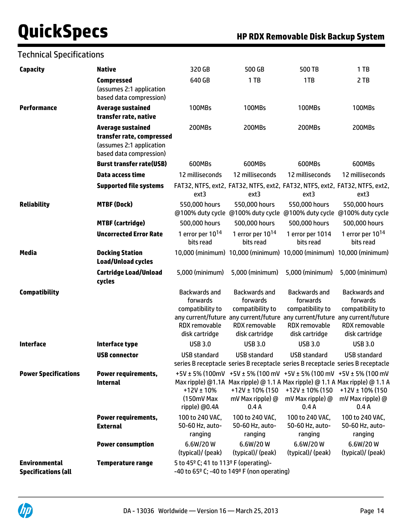# Technical Specifications

| Capacity                                           | <b>Native</b>                                                                                                | 320 GB                                                                                             | 500 GB                                                                                                                                                                                             | 500 TB                                                                                             | 1TB                                                                                                |
|----------------------------------------------------|--------------------------------------------------------------------------------------------------------------|----------------------------------------------------------------------------------------------------|----------------------------------------------------------------------------------------------------------------------------------------------------------------------------------------------------|----------------------------------------------------------------------------------------------------|----------------------------------------------------------------------------------------------------|
|                                                    | <b>Compressed</b><br>(assumes 2:1 application<br>based data compression)                                     | 640 GB                                                                                             | 1TB                                                                                                                                                                                                | 1TB                                                                                                | 2 TB                                                                                               |
| Performance                                        | <b>Average sustained</b><br>transfer rate, native                                                            | 100MBs                                                                                             | 100MBs                                                                                                                                                                                             | 100MBs                                                                                             | <b>100MBs</b>                                                                                      |
|                                                    | <b>Average sustained</b><br>transfer rate, compressed<br>(assumes 2:1 application<br>based data compression) | 200MBs                                                                                             | 200MBs                                                                                                                                                                                             | 200MBs                                                                                             | 200MBs                                                                                             |
|                                                    | <b>Burst transfer rate(USB)</b>                                                                              | 600MBs                                                                                             | 600MBs                                                                                                                                                                                             | 600MBs                                                                                             | 600MBs                                                                                             |
|                                                    | Data access time                                                                                             | 12 milliseconds                                                                                    | 12 milliseconds                                                                                                                                                                                    | 12 milliseconds                                                                                    | 12 milliseconds                                                                                    |
|                                                    | <b>Supported file systems</b>                                                                                | ext3                                                                                               | FAT32, NTFS, ext2, FAT32, NTFS, ext2, FAT32, NTFS, ext2, FAT32, NTFS, ext2,<br>ext3                                                                                                                | ext3                                                                                               | ext3                                                                                               |
| <b>Reliability</b>                                 | <b>MTBF (Dock)</b>                                                                                           | 550,000 hours                                                                                      | 550,000 hours<br>@100% duty cycle @100% duty cycle @100% duty cycle @100% duty cycle                                                                                                               | 550,000 hours                                                                                      | 550,000 hours                                                                                      |
|                                                    | <b>MTBF (cartridge)</b>                                                                                      | 500,000 hours                                                                                      | 500,000 hours                                                                                                                                                                                      | 500,000 hours                                                                                      | 500,000 hours                                                                                      |
|                                                    | <b>Uncorrected Error Rate</b>                                                                                | 1 error per $10^{14}$<br>bits read                                                                 | 1 error per $10^{14}$<br>bits read                                                                                                                                                                 | 1 error per 1014<br>bits read                                                                      | 1 error per $10^{14}$<br>bits read                                                                 |
| <b>Media</b>                                       | <b>Docking Station</b><br><b>Load/Unload cycles</b>                                                          |                                                                                                    | 10,000 (minimum) 10,000 (minimum) 10,000 (minimum) 10,000 (minimum)                                                                                                                                |                                                                                                    |                                                                                                    |
|                                                    | <b>Cartridge Load/Unload</b><br>cycles                                                                       | 5,000 (minimum)                                                                                    | 5,000 (minimum)                                                                                                                                                                                    | 5,000 (minimum)                                                                                    | 5,000 (minimum)                                                                                    |
| <b>Compatibility</b><br><b>Interface</b>           | Interface type                                                                                               | Backwards and<br>forwards<br>compatibility to<br>RDX removable<br>disk cartridge<br><b>USB 3.0</b> | Backwards and<br>forwards<br>compatibility to<br>any current/future any current/future any current/future any current/future<br>RDX removable<br>disk cartridge<br><b>USB 3.0</b>                  | Backwards and<br>forwards<br>compatibility to<br>RDX removable<br>disk cartridge<br><b>USB 3.0</b> | Backwards and<br>forwards<br>compatibility to<br>RDX removable<br>disk cartridge<br><b>USB 3.0</b> |
|                                                    | <b>USB connector</b>                                                                                         | <b>USB</b> standard                                                                                | <b>USB standard</b><br>series B receptacle series B receptacle series B receptacle series B receptacle                                                                                             | <b>USB standard</b>                                                                                | <b>USB</b> standard                                                                                |
| <b>Power Specifications</b>                        | <b>Power requirements,</b><br>Internal                                                                       | $+12V \pm 10%$<br>(150mV Max<br>ripple) @0.4A                                                      | +5V ± 5% (100mV +5V ± 5% (100 mV +5V ± 5% (100 mV +5V ± 5% (100 mV<br>Max ripple) @1.1A Max ripple) @ 1.1 A Max ripple) @ 1.1 A Max ripple) @ 1.1 A<br>+12V ± 10% (150<br>mV Max ripple) @<br>0.4A | +12V ± 10% (150<br>mV Max ripple) @<br>0.4A                                                        | +12V ± 10% (150<br>mV Max ripple) @<br>0.4A                                                        |
|                                                    | <b>Power requirements,</b><br><b>External</b>                                                                | 100 to 240 VAC,<br>50-60 Hz, auto-<br>ranging                                                      | 100 to 240 VAC,<br>50-60 Hz, auto-<br>ranging                                                                                                                                                      | 100 to 240 VAC,<br>50-60 Hz, auto-<br>ranging                                                      | 100 to 240 VAC,<br>50-60 Hz, auto-<br>ranging                                                      |
|                                                    | <b>Power consumption</b>                                                                                     | 6.6W/20W<br>(typical)/ (peak)                                                                      | 6.6W/20W<br>(typical)/ (peak)                                                                                                                                                                      | 6.6W/20W<br>(typical)/ (peak)                                                                      | 6.6W/20W<br>(typical)/ (peak)                                                                      |
| <b>Environmental</b><br><b>Specifications (all</b> | <b>Temperature range</b>                                                                                     | 5 to 45 <sup>o</sup> C; 41 to 113 <sup>o</sup> F (operating)-                                      | -40 to $65^{\circ}$ C; -40 to 149 $^{\circ}$ F (non operating)                                                                                                                                     |                                                                                                    |                                                                                                    |